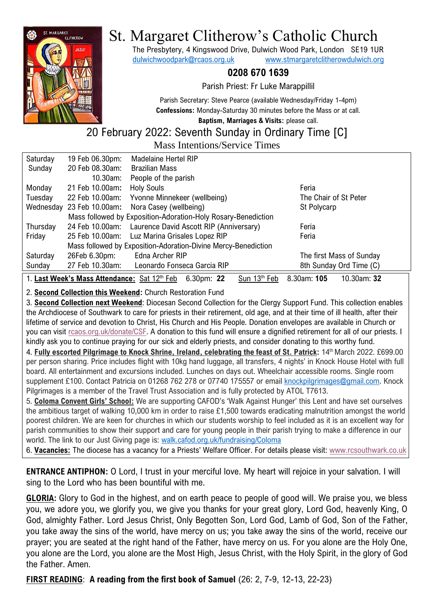

# St. Margaret Clitherow's Catholic Church

The Presbytery, 4 Kingswood Drive, Dulwich Wood Park, London SE19 1UR [dulwichwoodpark@rcaos.org.uk](mailto:dulwichwoodpark@rcaos.org.uk) [www.stmargaretclitherowdulwich.org](http://www.stmargaretclitherowdulwich.org/)

## **0208 670 1639**

Parish Priest: Fr Luke Marappillil

Parish Secretary: Steve Pearce (available Wednesday/Friday 1-4pm) **Confessions:** Monday-Saturday 30 minutes before the Mass or at call.

**Baptism, Marriages & Visits:** please call.

#### 20 February 2022: Seventh Sunday in Ordinary Time [C] Mass Intentions/Service Times

| Mass Intentions/Service Thiles                                                                                    |                           |                                                                |                          |
|-------------------------------------------------------------------------------------------------------------------|---------------------------|----------------------------------------------------------------|--------------------------|
| Saturday                                                                                                          | 19 Feb 06.30pm:           | <b>Madelaine Hertel RIP</b>                                    |                          |
| Sunday                                                                                                            | 20 Feb 08.30am:           | <b>Brazilian Mass</b>                                          |                          |
|                                                                                                                   | $10.30$ am:               | People of the parish                                           |                          |
| Monday                                                                                                            | 21 Feb 10.00am:           | <b>Holy Souls</b>                                              | Feria                    |
| Tuesday                                                                                                           | 22 Feb 10.00am:           | Yvonne Minnekeer (wellbeing)                                   | The Chair of St Peter    |
|                                                                                                                   | Wednesday 23 Feb 10.00am: | Nora Casey (wellbeing)                                         | St Polycarp              |
|                                                                                                                   |                           | Mass followed by Exposition-Adoration-Holy Rosary-Benediction  |                          |
| Thursday                                                                                                          | 24 Feb 10.00am:           | Laurence David Ascott RIP (Anniversary)                        | Feria                    |
| Friday                                                                                                            | 25 Feb 10.00am:           | Luz Marina Grisales Lopez RIP                                  | Feria                    |
|                                                                                                                   |                           | Mass followed by Exposition-Adoration-Divine Mercy-Benediction |                          |
| Saturday                                                                                                          | 26Feb 6.30pm:             | Edna Archer RIP                                                | The first Mass of Sunday |
| Sunday                                                                                                            | 27 Feb 10.30am:           | Leonardo Fonseca Garcia RIP                                    | 8th Sunday Ord Time (C)  |
| 1. Last Week's Mass Attendance: Sat 12th Feb 6.30pm: 22<br>Sun 13 <sup>th</sup> Feb<br>8.30am: 105<br>10.30am: 32 |                           |                                                                |                          |

#### 2. **Second Collection this Weekend:** Church Restoration Fund

3. **Second Collection next Weekend**: Diocesan Second Collection for the Clergy Support Fund. This collection enables the Archdiocese of Southwark to care for priests in their retirement, old age, and at their time of ill health, after their lifetime of service and devotion to Christ, His Church and His People. Donation envelopes are available in Church or you can visit [rcaos.org.uk/donate/CSF.](https://www.rcaos.org.uk/donate/CSF) A donation to this fund will ensure a dignified retirement for all of our priests. I kindly ask you to continue praying for our sick and elderly priests, and consider donating to this worthy fund.

4. **Fully escorted Pilgrimage to Knock Shrine, Ireland, celebrating the feast of St. Patrick:** 14th March 2022. £699.00 per person sharing. Price includes flight with 10kg hand luggage, all transfers, 4 nights' in Knock House Hotel with full board. All entertainment and excursions included. Lunches on days out. Wheelchair accessible rooms. Single room supplement £100. Contact Patricia on 01268 762 278 or 07740 175557 or email [knockpilgrimages@gmail.com.](mailto:knockpilgrimages@gmail.com) Knock Pilgrimages is a member of the Travel Trust Association and is fully protected by ATOL T7613.

5. **Coloma Convent Girls' School:** We are supporting CAFOD's 'Walk Against Hunger' this Lent and have set ourselves the ambitious target of walking 10,000 km in order to raise £1,500 towards eradicating malnutrition amongst the world poorest children. We are keen for churches in which our students worship to feel included as it is an excellent way for parish communities to show their support and care for young people in their parish trying to make a difference in our world. The link to our Just Giving page is: [walk.cafod.org.uk/fundraising/Coloma](https://walk.cafod.org.uk/fundraising/Coloma)

6. **Vacancies:** The diocese has a vacancy for a Priests' Welfare Officer. For details please visit: [www.rcsouthwark.co.uk](https://www.rcsouthwark.co.uk/news-events/news/vacancy-priests-welfare-officer/)

**ENTRANCE ANTIPHON:** O Lord, I trust in your merciful love. My heart will rejoice in your salvation. I will sing to the Lord who has been bountiful with me.

**GLORIA:** Glory to God in the highest, and on earth peace to people of good will. We praise you, we bless you, we adore you, we glorify you, we give you thanks for your great glory, Lord God, heavenly King, O God, almighty Father. Lord Jesus Christ, Only Begotten Son, Lord God, Lamb of God, Son of the Father, you take away the sins of the world, have mercy on us; you take away the sins of the world, receive our prayer; you are seated at the right hand of the Father, have mercy on us. For you alone are the Holy One, you alone are the Lord, you alone are the Most High, Jesus Christ, with the Holy Spirit, in the glory of God the Father. Amen.

**FIRST READING**: **A reading from the first book of Samuel** (26: 2, 7-9, 12-13, 22-23)